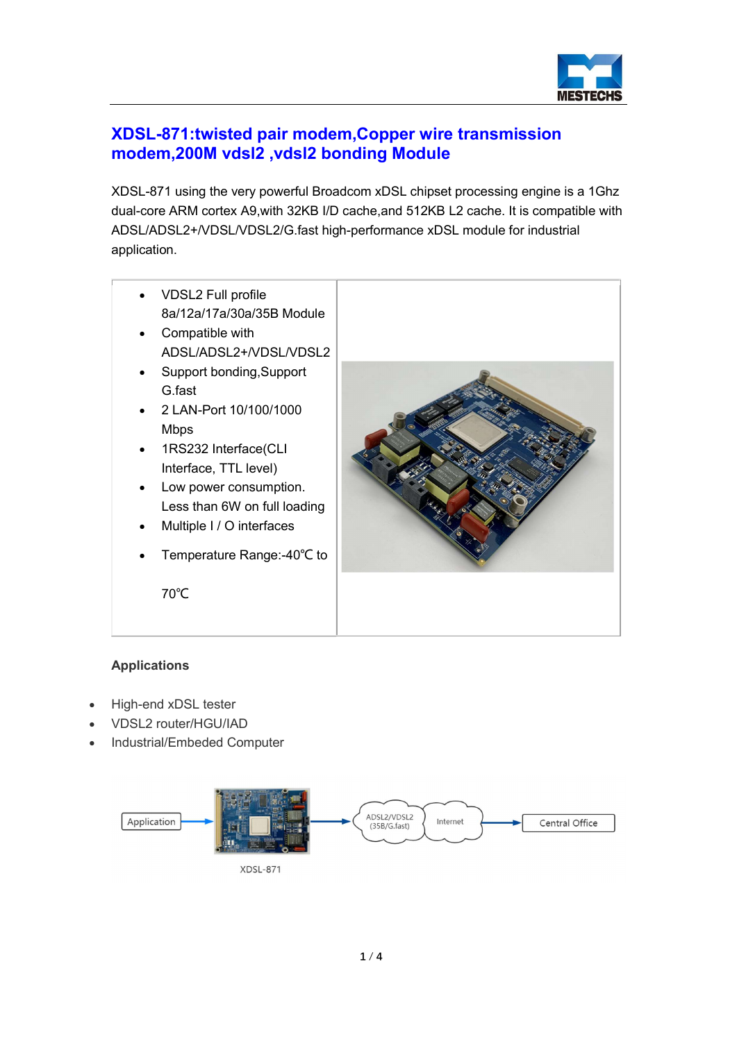

# XDSL-871:twisted pair modem,Copper wire transmission modem,200M vdsl2 ,vdsl2 bonding Module

XDSL-871 using the very powerful Broadcom xDSL chipset processing engine is a 1Ghz dual-core ARM cortex A9,with 32KB I/D cache,and 512KB L2 cache. It is compatible with ADSL/ADSL2+/VDSL/VDSL2/G.fast high-performance xDSL module for industrial application.

- VDSL2 Full profile 8a/12a/17a/30a/35B Module
- Compatible with ADSL/ADSL2+/VDSL/VDSL2
- Support bonding, Support G.fast
- 2 LAN-Port 10/100/1000 Mbps
- 1RS232 Interface(CLI Interface, TTL level)
- Low power consumption. Less than 6W on full loading
- Multiple I / O interfaces
- Temperature Range:-40℃ to



## Applications

- High-end xDSL tester
- VDSL2 router/HGU/IAD

70℃

Industrial/Embeded Computer

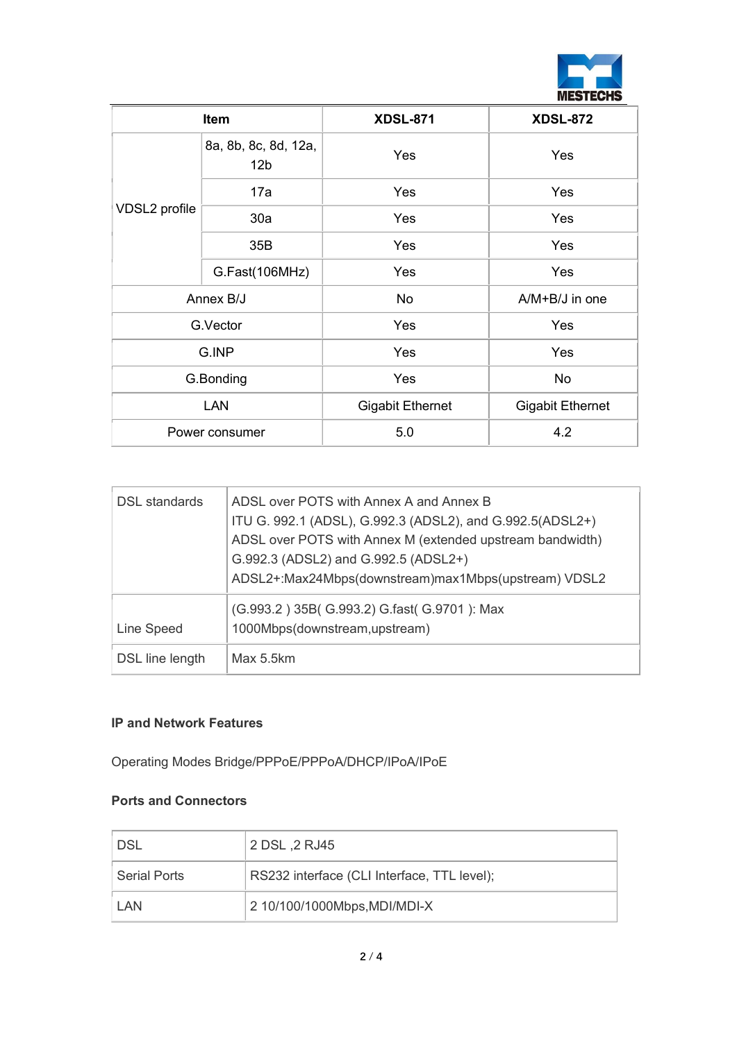

| <b>Item</b>    |                                         | <b>XDSL-871</b>         | <b>XDSL-872</b>         |
|----------------|-----------------------------------------|-------------------------|-------------------------|
| VDSL2 profile  | 8a, 8b, 8c, 8d, 12a,<br>12 <sub>b</sub> | Yes                     | Yes                     |
|                | 17a                                     | Yes                     | Yes                     |
|                | 30a                                     | <b>Yes</b>              | Yes                     |
|                | 35B                                     | Yes                     | Yes                     |
|                | G.Fast(106MHz)                          | Yes                     | Yes                     |
| Annex B/J      |                                         | No                      | A/M+B/J in one          |
| G.Vector       |                                         | Yes                     | Yes                     |
| G.INP          |                                         | Yes                     | Yes                     |
| G.Bonding      |                                         | Yes                     | No                      |
| <b>LAN</b>     |                                         | <b>Gigabit Ethernet</b> | <b>Gigabit Ethernet</b> |
| Power consumer |                                         | 5.0                     | 4.2                     |

| DSL standards   | ADSL over POTS with Annex A and Annex B<br>ITU G. 992.1 (ADSL), G.992.3 (ADSL2), and G.992.5(ADSL2+)<br>ADSL over POTS with Annex M (extended upstream bandwidth)<br>G.992.3 (ADSL2) and G.992.5 (ADSL2+)<br>ADSL2+:Max24Mbps(downstream)max1Mbps(upstream) VDSL2 |
|-----------------|-------------------------------------------------------------------------------------------------------------------------------------------------------------------------------------------------------------------------------------------------------------------|
| Line Speed      | (G.993.2) 35B(G.993.2) G.fast(G.9701): Max<br>1000Mbps(downstream,upstream)                                                                                                                                                                                       |
| DSL line length | Max 5.5km                                                                                                                                                                                                                                                         |

#### IP and Network Features

Operating Modes Bridge/PPPoE/PPPoA/DHCP/IPoA/IPoE

#### Ports and Connectors

| DSL'         | 2 DSL .2 RJ45                               |
|--------------|---------------------------------------------|
| Serial Ports | RS232 interface (CLI Interface, TTL level); |
| LAN          | 2 10/100/1000Mbps, MDI/MDI-X                |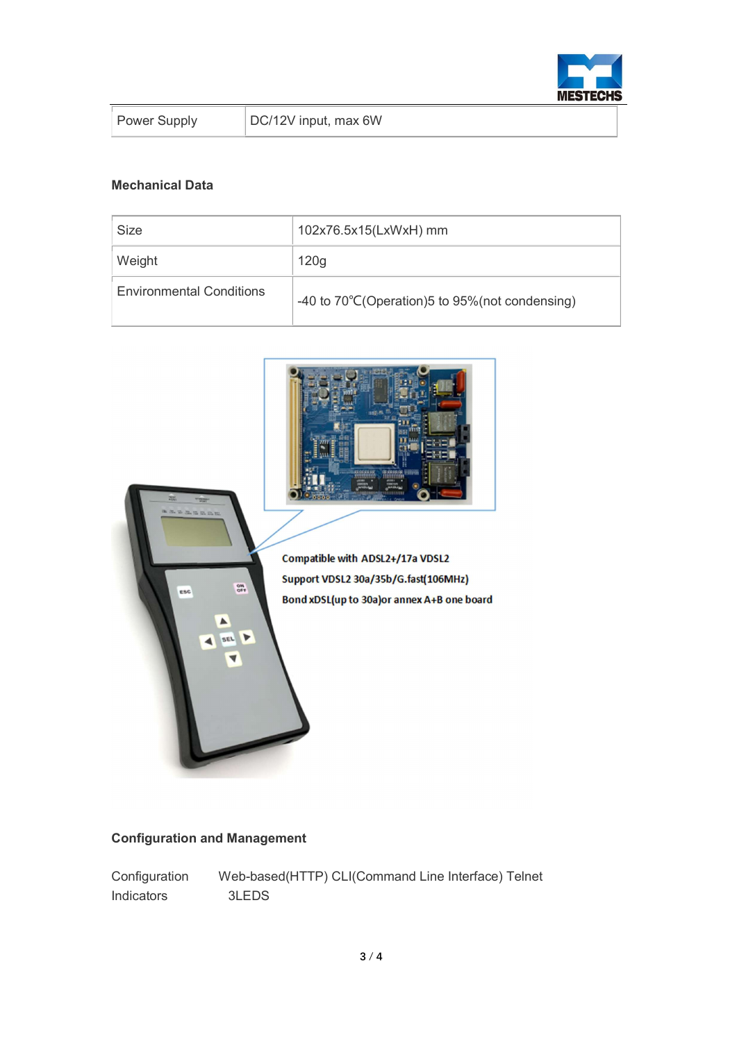

| <b>Power Supply</b> |
|---------------------|
|                     |

### Mechanical Data

| Size                            | 102x76.5x15(LxWxH) mm                          |
|---------------------------------|------------------------------------------------|
| Weight                          | 120g                                           |
| <b>Environmental Conditions</b> | -40 to 70°C(Operation)5 to 95%(not condensing) |



## Configuration and Management

Configuration Web-based(HTTP) CLI(Command Line Interface) Telnet Indicators 3LEDS